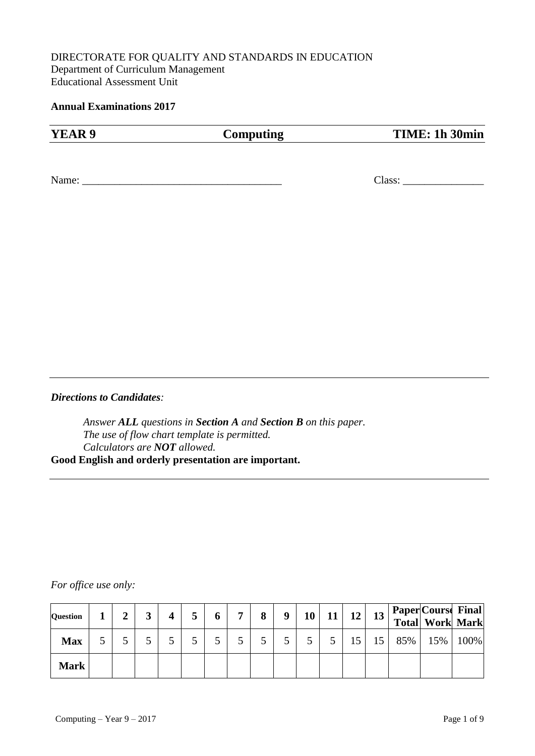### DIRECTORATE FOR QUALITY AND STANDARDS IN EDUCATION Department of Curriculum Management Educational Assessment Unit

#### **Annual Examinations 2017**

| YEAR 9 | Computing | TIME: 1h 30min |
|--------|-----------|----------------|
|        |           |                |
| Name:  |           | Class:         |

#### *Directions to Candidates:*

*Answer ALL questions in Section A and Section B on this paper. The use of flow chart template is permitted. Calculators are NOT allowed.* **Good English and orderly presentation are important.**

#### *For office use only:*

| <b>Question</b> | $\gamma$ |  |  | ៗ | 8 | 9 | 10 | 11 | 12 | 13 |     | <b>Paper Course Final </b><br>Total Work Mark |      |
|-----------------|----------|--|--|---|---|---|----|----|----|----|-----|-----------------------------------------------|------|
| <b>Max</b>      |          |  |  |   |   |   |    |    |    | 15 | 85% | 15%                                           | 100% |
| <b>Mark</b>     |          |  |  |   |   |   |    |    |    |    |     |                                               |      |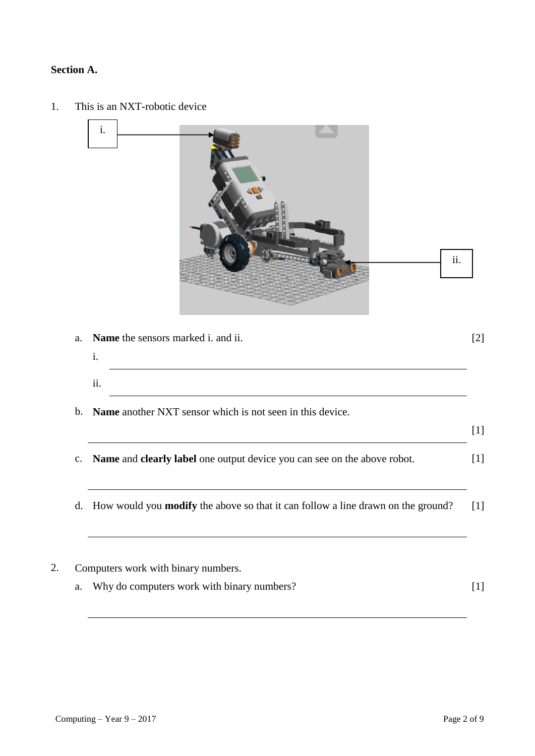## **Section A.**

- a. **Name** the sensors marked i. and ii. [2] i. ii. b. **Name** another NXT sensor which is not seen in this device. [1] c. **Name** and **clearly label** one output device you can see on the above robot. [1] d. How would you **modify** the above so that it can follow a line drawn on the ground? [1] 2. Computers work with binary numbers. a. Why do computers work with binary numbers? [1] ii. i.
- 1. This is an NXT-robotic device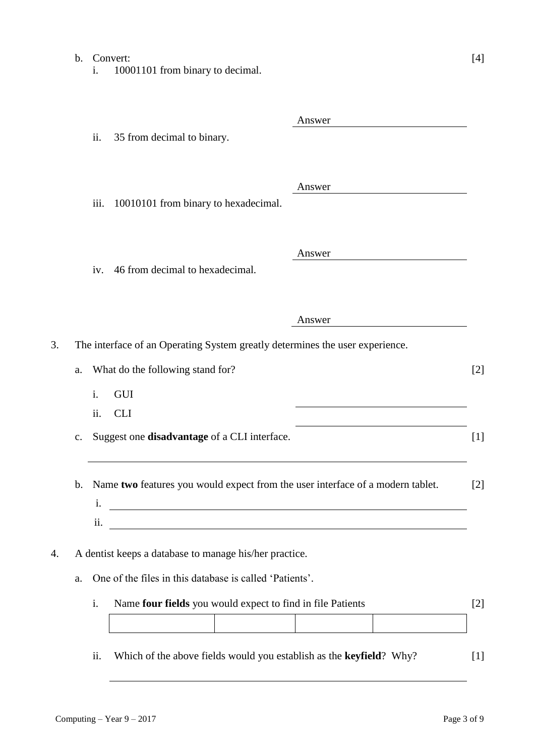# b. Convert: [4] i. 10001101 from binary to decimal. Answer ii. 35 from decimal to binary. Answer iii. 10010101 from binary to hexadecimal. Answer iv. 46 from decimal to hexadecimal. Answer 3. The interface of an Operating System greatly determines the user experience. a. What do the following stand for? [2] i. GUI ii. CLI c. Suggest one **disadvantage** of a CLI interface. [1] b. Name **two** features you would expect from the user interface of a modern tablet. [2] i. ii. 4. A dentist keeps a database to manage his/her practice. a. One of the files in this database is called 'Patients'.

| Name four fields you would expect to find in file Patients |  |  |
|------------------------------------------------------------|--|--|
|                                                            |  |  |

ii. Which of the above fields would you establish as the **keyfield**? Why? [1]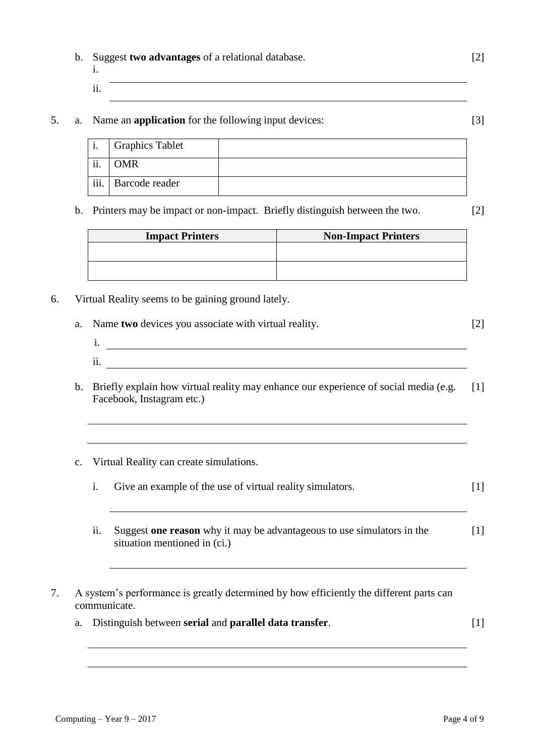Computing – Year  $9 - 2017$  Page 4 of 9

# b. Suggest **two advantages** of a relational database. [2]

- i. ii.
- 5. a. Name an **application** for the following input devices: [3]

| и.                        | <b>Graphics Tablet</b> |  |
|---------------------------|------------------------|--|
| ii.                       | OMR                    |  |
| $\overline{\text{iii}}$ . | Barcode reader         |  |

b. Printers may be impact or non-impact. Briefly distinguish between the two. [2]

| <b>Impact Printers</b> | <b>Non-Impact Printers</b> |
|------------------------|----------------------------|
|                        |                            |
|                        |                            |

- 6. Virtual Reality seems to be gaining ground lately.
	- a. Name **two** devices you associate with virtual reality. [2]
		- i. ii.
	- b. Briefly explain how virtual reality may enhance our experience of social media (e.g. [1] Facebook, Instagram etc.)
	- c. Virtual Reality can create simulations.

| Give an example of the use of virtual reality simulators. |  |
|-----------------------------------------------------------|--|
|                                                           |  |

- ii. Suggest **one reason** why it may be advantageous to use simulators in the situation mentioned in (ci.)  $[1]$
- 7. A system's performance is greatly determined by how efficiently the different parts can communicate.
	- a. Distinguish between **serial** and **parallel data transfer**. [1]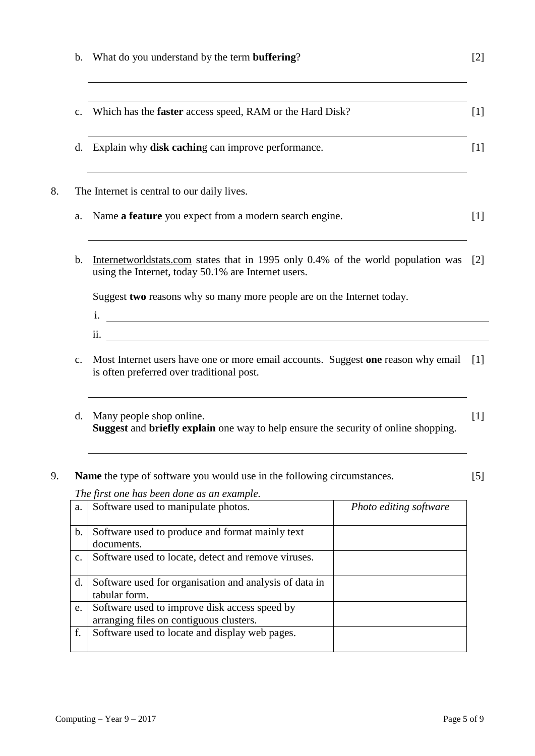| $\mathbf{b}$ . | What do you understand by the term <b>buffering</b> ?                                                                                                                                                  | [2]                    |  |  |  |  |  |
|----------------|--------------------------------------------------------------------------------------------------------------------------------------------------------------------------------------------------------|------------------------|--|--|--|--|--|
| c.             | Which has the <b>faster</b> access speed, RAM or the Hard Disk?                                                                                                                                        |                        |  |  |  |  |  |
|                | d. Explain why <b>disk caching</b> can improve performance.<br>$[1]$                                                                                                                                   |                        |  |  |  |  |  |
|                | The Internet is central to our daily lives.                                                                                                                                                            |                        |  |  |  |  |  |
| a.             | Name a feature you expect from a modern search engine.                                                                                                                                                 |                        |  |  |  |  |  |
| $\mathbf b$ .  | Internetworldstats.com states that in 1995 only 0.4% of the world population was<br>using the Internet, today 50.1% are Internet users.                                                                |                        |  |  |  |  |  |
|                | Suggest two reasons why so many more people are on the Internet today.<br><u> 1989 - Johann Stoff, deutscher Stoffen und der Stoffen und der Stoffen und der Stoffen und der Stoffen und der</u><br>i. |                        |  |  |  |  |  |
|                | <u> 1989 - Johann Barbara, martin amerikan basa</u><br>11.                                                                                                                                             |                        |  |  |  |  |  |
| $C_{\bullet}$  | Most Internet users have one or more email accounts. Suggest one reason why email<br>is often preferred over traditional post.                                                                         |                        |  |  |  |  |  |
| d.             | Many people shop online.<br>Suggest and briefly explain one way to help ensure the security of online shopping.                                                                                        |                        |  |  |  |  |  |
|                | Name the type of software you would use in the following circumstances.                                                                                                                                |                        |  |  |  |  |  |
|                | The first one has been done as an example.                                                                                                                                                             |                        |  |  |  |  |  |
| a.             | Software used to manipulate photos.                                                                                                                                                                    | Photo editing software |  |  |  |  |  |
| $\mathbf b$ .  | Software used to produce and format mainly text<br>documents.                                                                                                                                          |                        |  |  |  |  |  |
| c.             | Software used to locate, detect and remove viruses.                                                                                                                                                    |                        |  |  |  |  |  |
| d.             | Software used for organisation and analysis of data in<br>tabular form.                                                                                                                                |                        |  |  |  |  |  |
| e.             | Software used to improve disk access speed by                                                                                                                                                          |                        |  |  |  |  |  |
|                | arranging files on contiguous clusters.                                                                                                                                                                |                        |  |  |  |  |  |
| f.             | Software used to locate and display web pages.                                                                                                                                                         |                        |  |  |  |  |  |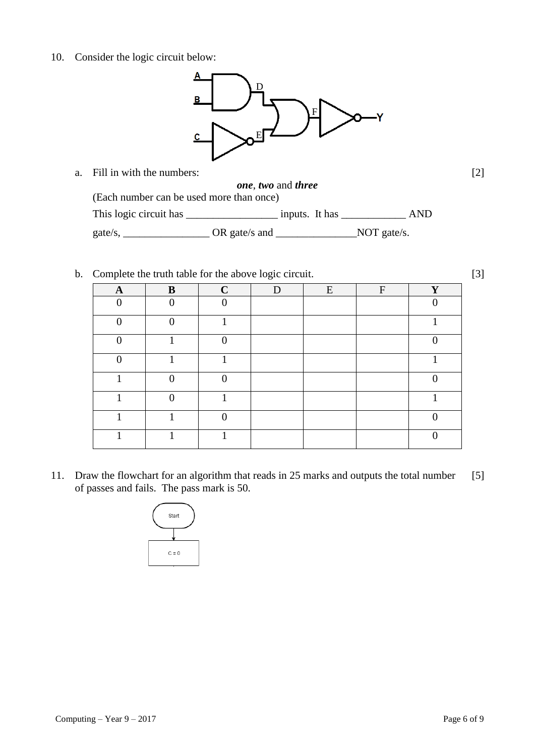10. Consider the logic circuit below:



- a. Fill in with the numbers: *one*, *two* and *three* (Each number can be used more than once) [2] This logic circuit has \_\_\_\_\_\_\_\_\_\_\_\_\_\_\_\_\_\_\_\_\_\_ inputs. It has \_\_\_\_\_\_\_\_\_\_\_\_\_\_ AND gate/s, \_\_\_\_\_\_\_\_\_\_\_\_\_\_\_\_\_\_\_\_\_\_\_\_OR gate/s and \_\_\_\_\_\_\_\_\_\_\_\_\_\_\_\_\_\_\_\_\_\_\_NOT gate/s.
- b. Complete the truth table for the above logic circuit. [3]

| $\mathbf A$ | B        | $\mathbf C$ | D | E | $\mathbf{F}$ | Y        |
|-------------|----------|-------------|---|---|--------------|----------|
| $\Omega$    | $\Omega$ | ∩           |   |   |              | $\Omega$ |
| ∩           |          |             |   |   |              |          |
| ∩           |          |             |   |   |              |          |
| ∩           |          |             |   |   |              |          |
|             | ∩        |             |   |   |              |          |
|             |          |             |   |   |              |          |
|             |          |             |   |   |              |          |
|             |          |             |   |   |              |          |

11. Draw the flowchart for an algorithm that reads in 25 marks and outputs the total number of passes and fails. The pass mark is 50. [5]

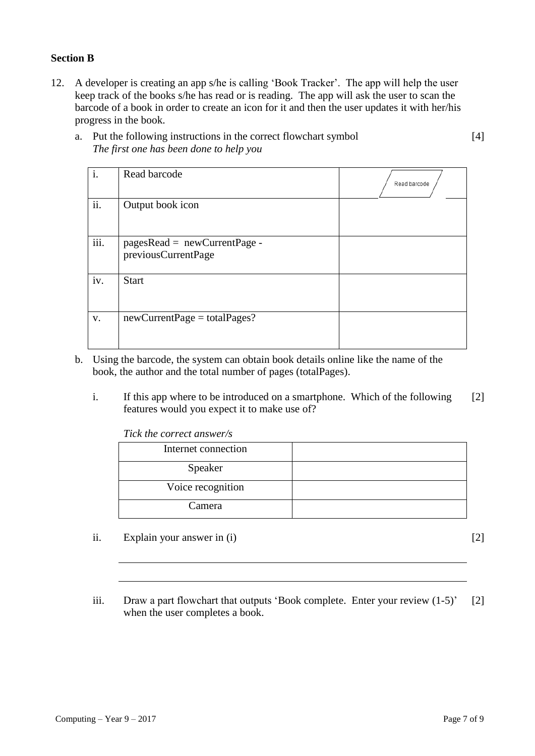#### **Section B**

12. A developer is creating an app s/he is calling 'Book Tracker'. The app will help the user keep track of the books s/he has read or is reading. The app will ask the user to scan the barcode of a book in order to create an icon for it and then the user updates it with her/his progress in the book.

| a. Put the following instructions in the correct flowchart symbol |
|-------------------------------------------------------------------|
| The first one has been done to help you                           |

| i.   | Read barcode                                          | Read barcode |
|------|-------------------------------------------------------|--------------|
| ii.  | Output book icon                                      |              |
| iii. | $pagesRead = newCurrentPage -$<br>previousCurrentPage |              |
| iv.  | <b>Start</b>                                          |              |
| V.   | $newCurrentPage = total Pages?$                       |              |

- b. Using the barcode, the system can obtain book details online like the name of the book, the author and the total number of pages (totalPages).
	- i. If this app where to be introduced on a smartphone. Which of the following features would you expect it to make use of? [2]

*Tick the correct answer/s*

| Internet connection |  |
|---------------------|--|
| Speaker             |  |
| Voice recognition   |  |
| Camera              |  |

ii. Explain your answer in  $(i)$  [2]

[4]

iii. Draw a part flowchart that outputs 'Book complete. Enter your review (1-5)' when the user completes a book. [2]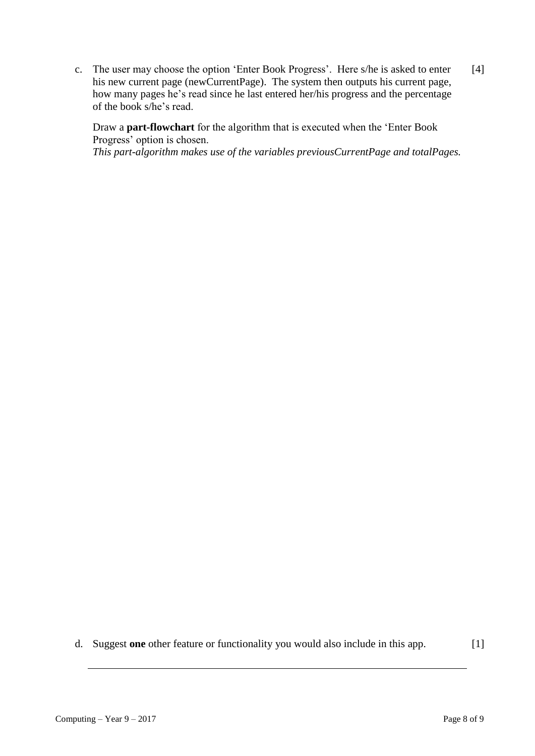c. The user may choose the option 'Enter Book Progress'. Here s/he is asked to enter his new current page (newCurrentPage). The system then outputs his current page, how many pages he's read since he last entered her/his progress and the percentage of the book s/he's read.  $[4]$ 

Draw a **part-flowchart** for the algorithm that is executed when the 'Enter Book Progress' option is chosen. *This part-algorithm makes use of the variables previousCurrentPage and totalPages.*

d. Suggest **one** other feature or functionality you would also include in this app. [1]